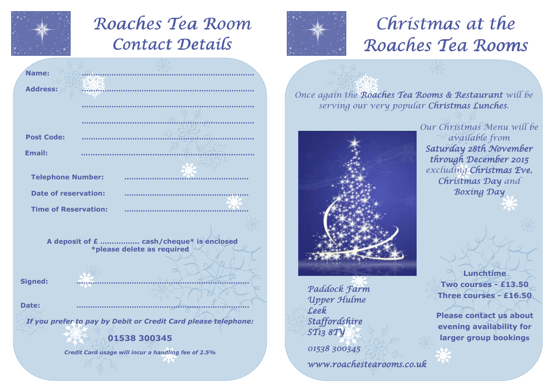

# Roaches Tea RoomContact Details

| <b>Name:</b>                |  |  |
|-----------------------------|--|--|
| <b>Address:</b>             |  |  |
|                             |  |  |
| <b>Post Code:</b>           |  |  |
| <b>Email:</b>               |  |  |
| <b>Telephone Number:</b>    |  |  |
| <b>Date of reservation:</b> |  |  |
| <b>Time of Reservation:</b> |  |  |

 A deposit of £ …………….. cash/cheque\* is enclosed \*please delete as required

Signed: …………………………………………………………………

Date: …………………………………………………………………

If you prefer to pay by Debit or Credit Card please telephone:

### 01538 300345

Credit Card usage will incur a handling fee of 2.5%



# Christmas at the Roaches Tea Rooms

Once again the Roaches Tea Rooms & Restaurant will be serving our very popular **Christmas Lunches**.



Paddock FarmUpper Hulme LeekStaffordshire  $ST13$   $STV$ 01538 300345 www.roachestearooms.co.uk

Our Christmas Menu will be available from Saturday 28th November through December 2015 excluding **Christmas Eve**, Christmas Day and Boxing Day

> Lunchtime Two courses - £13.50 Three courses - £16.50

Please contact us about evening availability for larger group bookings